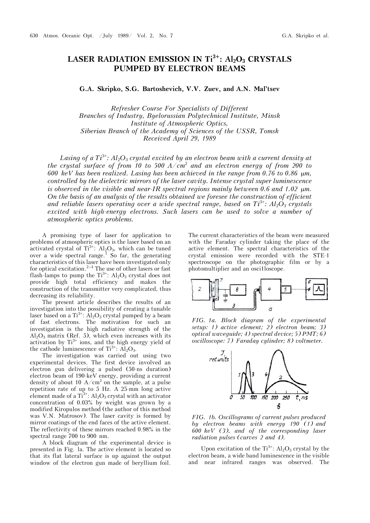## LASER RADIATION EMISSION IN Ti<sup>3+</sup>: Al<sub>2</sub>O<sub>3</sub> CRYSTALS **PUMPED BY ELECTRON BEAMS**

**G.A. Skripko, S.G. Bartoshevich, V.V. Zuev, and A.N. Mal'tsev**

*Refresher Course For Specialists of Different Branches of Industry, Byelorussian Polytechnical Institute, Minsk Institute of Atmospheric Optics, Siberian Branch of the Academy of Sciences of the USSR, Tomsk Received April 29, 1989*

*Lasing of a Ti*<sup>3+</sup>*: Al*<sub>2</sub>O<sub>3</sub> *crystal excited by an electron beam with a current density at* the crystal surface of from 10 to 500  $A/cm^2$  and an electron energy of from 200 to *600 keV has been realized. Lasing has been achieved in the range from 0.76 to 0.86 m, controlled by the dielectric mirrors of the laser cavity. Intense crystal super luminescence is observed in the visible and near-IR spectral regions mainly between 0.6 and 1.02*  $\mu$ *m. On the basis of an analysis of the results obtained we foresee the construction of efficient and reliable lasers operating over a wide spectral range, based on Ti*3+*: Al*2*O*<sup>3</sup> *crystals excited with high-energy electrons. Such lasers can be used to solve a number of atmospheric optics problems.*

A promising type of laser for application to problems of atmospheric optics is the laser based on an activated crystal of  $Ti^{3+}$ :  $Al_2O_3$ , which can be tuned over a wide spectral range.<sup>1</sup> So far, the generating characteristics of this laser have been investigated only for optical excitation.<sup>2–4</sup> The use of other lasers or fast flash-lamps to pump the  $Ti<sup>3+</sup>$ :  $Al<sub>2</sub>O<sub>3</sub>$  crystal does not provide high total efficiency and makes the construction of the transmitter very complicated, thus decreasing its reliability.

The present article describes the results of an investigation into the possibility of creating a tunable laser based on a  $Ti^{3+}$ :  $Al_2O_3$  crystal pumped by a beam of fast electrons. The motivation for such an investigation is the high radiative strength of the  $Al_2O_3$  matrix (Ref. 5), which even increases with its activation by  $Ti^{3+}$  ions, and the high energy yield of the cathode luminescence of  $Ti^{3+}$ :  $Al_2O_3$ .

The investigation was carried out using two experimental devices. The first device involved an electron gun delivering a pulsed (50-ns duration) electron beam of 190-keV energy, providing a current density of about 10  $A/cm<sup>2</sup>$  on the sample, at a pulse repetition rate of up to 5 Hz. A 25-mm long active element made of a  $Ti^{3+}$ :  $Al_2O_3$  crystal with an activator concentration of 0.03% by weight was grown by a modified Kiropulos method (the author of this method was V.N. Matrosov). The laser cavity is formed by mirror coatings of the end faces of the active element. The reflectivity of these mirrors reached 0.98% in the spectral range 700 to 900 nm.

A block diagram of the experimental device is presented in Fig. la. The active element is located so that its flat lateral surface is up against the output window of the electron gun made of beryllium foil.

The current characteristics of the beam were measured with the Faraday cylinder taking the place of the active element. The spectral characteristics of the crystal emission were recorded with the STE-1 spectroscope on the photographic film or by a photomultiplier and an osci1loscope.



*FIG. 1a. Block diagram of the experimental setup: 1) active element; 2) electron beam; 3) optical waveguide; 4) spectral device; 5) ÐMT; 6) oscilloscope: 7) Faraday cylinder; 8) voltmeter.* 



*FIG. 1b. Oscillograms of current pulses produced by electron beams with energy 190 (1) and 600 keV (3), and of the corresponding laser radiation pulses (curves 2 and 4).*

Upon excitation of the  $Ti^{3+}$ :  $Al_2O_3$  crystal by the electron beam, a wide band luminescence in the visible and near infrared ranges was observed. The